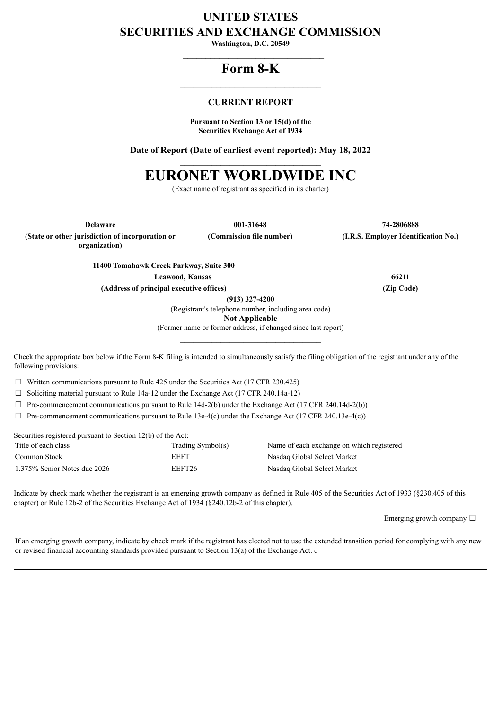## **UNITED STATES SECURITIES AND EXCHANGE COMMISSION**

**Washington, D.C. 20549**  $\mathcal{L}_\text{max}$  and  $\mathcal{L}_\text{max}$  and  $\mathcal{L}_\text{max}$ 

### **Form 8-K**  $\mathcal{L}_\text{max}$  and  $\mathcal{L}_\text{max}$  and  $\mathcal{L}_\text{max}$

### **CURRENT REPORT**

**Pursuant to Section 13 or 15(d) of the Securities Exchange Act of 1934**

**Date of Report (Date of earliest event reported): May 18, 2022**  $\_$ 

# **EURONET WORLDWIDE INC**

(Exact name of registrant as specified in its charter)  $\mathcal{L}_\text{max}$  and  $\mathcal{L}_\text{max}$  and  $\mathcal{L}_\text{max}$ 

**(State or other jurisdiction of incorporation or organization)**

**Delaware 001-31648 74-2806888 (Commission file number) (I.R.S. Employer Identification No.)**

**11400 Tomahawk Creek Parkway, Suite 300 Leawood, Kansas 66211 (Address of principal executive offices) (Zip Code)**

**(913) 327-4200**

(Registrant's telephone number, including area code) **Not Applicable**

(Former name or former address, if changed since last report)  $\_$ 

Check the appropriate box below if the Form 8-K filing is intended to simultaneously satisfy the filing obligation of the registrant under any of the following provisions:

 $\Box$  Written communications pursuant to Rule 425 under the Securities Act (17 CFR 230.425)

 $\Box$  Soliciting material pursuant to Rule 14a-12 under the Exchange Act (17 CFR 240.14a-12)

 $\Box$  Pre-commencement communications pursuant to Rule 14d-2(b) under the Exchange Act (17 CFR 240.14d-2(b))

 $\Box$  Pre-commencement communications pursuant to Rule 13e-4(c) under the Exchange Act (17 CFR 240.13e-4(c))

Securities registered pursuant to Section 12(b) of the Act:

| Title of each class          | Trading Symbol(s) | Name of each exchange on which registered |
|------------------------------|-------------------|-------------------------------------------|
| Common Stock                 | EEFT              | Nasdag Global Select Market               |
| 1.375% Senior Notes due 2026 | EEFT26            | Nasdag Global Select Market               |

Indicate by check mark whether the registrant is an emerging growth company as defined in Rule 405 of the Securities Act of 1933 (§230.405 of this

chapter) or Rule 12b-2 of the Securities Exchange Act of 1934 (§240.12b-2 of this chapter).

Emerging growth company  $\Box$ 

If an emerging growth company, indicate by check mark if the registrant has elected not to use the extended transition period for complying with any new or revised financial accounting standards provided pursuant to Section 13(a) of the Exchange Act. o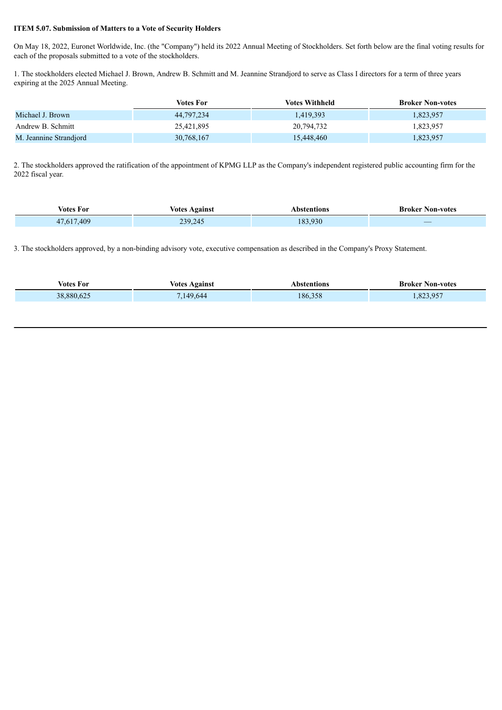### **ITEM 5.07. Submission of Matters to a Vote of Security Holders**

On May 18, 2022, Euronet Worldwide, Inc. (the "Company") held its 2022 Annual Meeting of Stockholders. Set forth below are the final voting results for each of the proposals submitted to a vote of the stockholders.

1. The stockholders elected Michael J. Brown, Andrew B. Schmitt and M. Jeannine Strandjord to serve as Class I directors for a term of three years expiring at the 2025 Annual Meeting.

|                        | <b>Votes For</b> | Votes Withheld | <b>Broker Non-votes</b> |
|------------------------|------------------|----------------|-------------------------|
| Michael J. Brown       | 44,797,234       | 1,419,393      | 1,823,957               |
| Andrew B. Schmitt      | 25,421,895       | 20,794,732     | 1,823,957               |
| M. Jeannine Strandjord | 30,768,167       | 15,448,460     | 1,823,957               |

2. The stockholders approved the ratification of the appointment of KPMG LLP as the Company's independent registered public accounting firm for the 2022 fiscal year.

| ⁄otes<br>For | ⁄otes<br>vgains               | 10NS<br>^` | \on-votes<br>Kroker      |
|--------------|-------------------------------|------------|--------------------------|
| .409         | 20-<br>$\sqrt{ }$<br>л.<br>-- | 183.930    | $\overline{\phantom{a}}$ |

3. The stockholders approved, by a non-binding advisory vote, executive compensation as described in the Company's Proxy Statement.

| <b>Votes For</b> | Votes Against | Abstentions | <b>Broker Non-votes</b> |
|------------------|---------------|-------------|-------------------------|
| 38,880,625       | 1,149,644     | 186,358     | 1,823,957               |
|                  |               |             |                         |